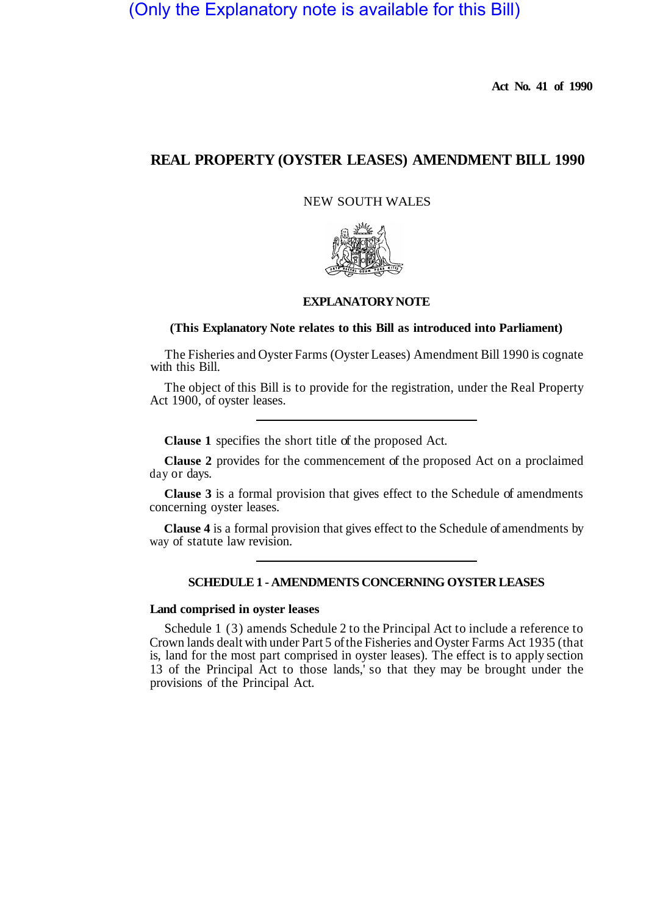# (Only the Explanatory note is available for this Bill)

**Act No. 41 of 1990** 

## **REAL PROPERTY (OYSTER LEASES) AMENDMENT BILL 1990**

NEW SOUTH WALES



#### **EXPLANATORY NOTE**

### **(This Explanatory Note relates to this Bill as introduced into Parliament)**

The Fisheries and Oyster Farms (Oyster Leases) Amendment Bill 1990 is cognate with this Bill.

The object of this Bill is to provide for the registration, under the Real Property Act 1900, of oyster leases.

**Clause 1** specifies the short title of the proposed Act.

**Clause 2** provides for the commencement of the proposed Act on a proclaimed day or days.

**Clause 3** is a formal provision that gives effect to the Schedule of amendments concerning oyster leases.

**Clause 4** is a formal provision that gives effect to the Schedule of amendments by way of statute law revision.

#### **SCHEDULE1 - AMENDMENTS CONCERNING OYSTER LEASES**

#### **Land comprised in oyster leases**

Schedule 1 (3) amends Schedule 2 to the Principal Act to include a reference to Crown lands dealt with under Part 5 of the Fisheries and Oyster Farms Act 1935 (that is, land for the most part comprised in oyster leases). The effect is to apply section 13 of the Principal Act to those lands,' so that they may be brought under the provisions of the Principal Act.